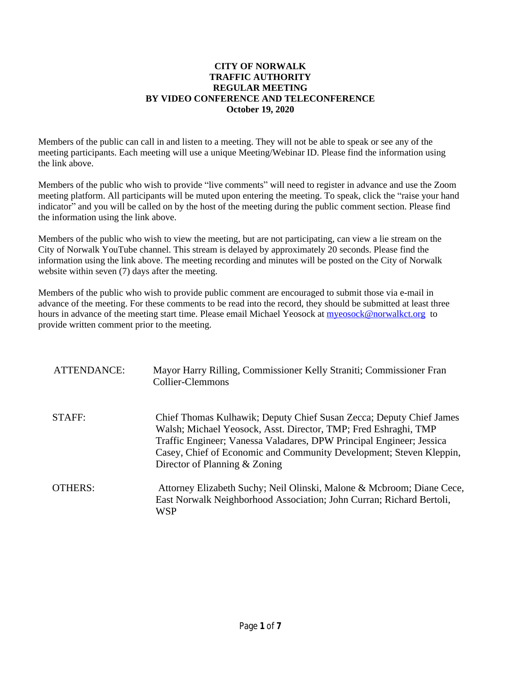## **CITY OF NORWALK TRAFFIC AUTHORITY REGULAR MEETING BY VIDEO CONFERENCE AND TELECONFERENCE October 19, 2020**

Members of the public can call in and listen to a meeting. They will not be able to speak or see any of the meeting participants. Each meeting will use a unique Meeting/Webinar ID. Please find the information using the link above.

Members of the public who wish to provide "live comments" will need to register in advance and use the Zoom meeting platform. All participants will be muted upon entering the meeting. To speak, click the "raise your hand indicator" and you will be called on by the host of the meeting during the public comment section. Please find the information using the link above.

Members of the public who wish to view the meeting, but are not participating, can view a lie stream on the City of Norwalk YouTube channel. This stream is delayed by approximately 20 seconds. Please find the information using the link above. The meeting recording and minutes will be posted on the City of Norwalk website within seven (7) days after the meeting.

Members of the public who wish to provide public comment are encouraged to submit those via e-mail in advance of the meeting. For these comments to be read into the record, they should be submitted at least three hours in advance of the meeting start time. Please email Michael Yeosock at [myeosock@norwalkct.org](mailto:myeosock@norwalkct.org) to provide written comment prior to the meeting.

| ATTENDANCE: | Mayor Harry Rilling, Commissioner Kelly Straniti; Commissioner Fran<br>Collier-Clemmons                                                                                                                                                                                                                                |
|-------------|------------------------------------------------------------------------------------------------------------------------------------------------------------------------------------------------------------------------------------------------------------------------------------------------------------------------|
| STAFF:      | Chief Thomas Kulhawik; Deputy Chief Susan Zecca; Deputy Chief James<br>Walsh; Michael Yeosock, Asst. Director, TMP; Fred Eshraghi, TMP<br>Traffic Engineer; Vanessa Valadares, DPW Principal Engineer; Jessica<br>Casey, Chief of Economic and Community Development; Steven Kleppin,<br>Director of Planning & Zoning |
| OTHERS:     | Attorney Elizabeth Suchy; Neil Olinski, Malone & Mcbroom; Diane Cece,<br>East Norwalk Neighborhood Association; John Curran; Richard Bertoli,<br><b>WSP</b>                                                                                                                                                            |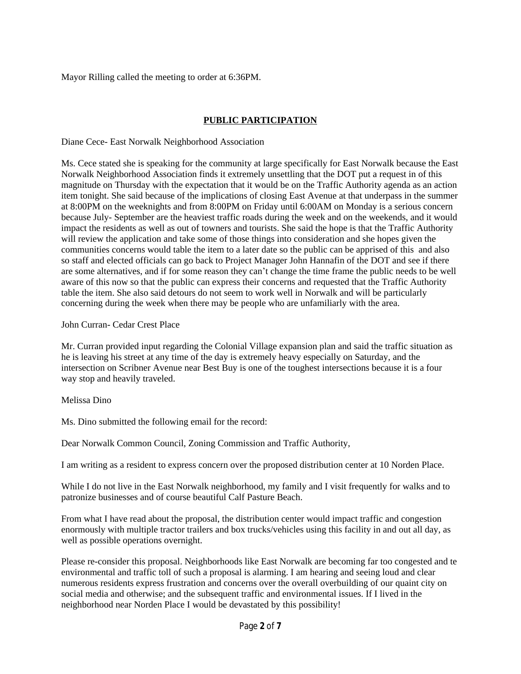Mayor Rilling called the meeting to order at 6:36PM.

# **PUBLIC PARTICIPATION**

Diane Cece- East Norwalk Neighborhood Association

Ms. Cece stated she is speaking for the community at large specifically for East Norwalk because the East Norwalk Neighborhood Association finds it extremely unsettling that the DOT put a request in of this magnitude on Thursday with the expectation that it would be on the Traffic Authority agenda as an action item tonight. She said because of the implications of closing East Avenue at that underpass in the summer at 8:00PM on the weeknights and from 8:00PM on Friday until 6:00AM on Monday is a serious concern because July- September are the heaviest traffic roads during the week and on the weekends, and it would impact the residents as well as out of towners and tourists. She said the hope is that the Traffic Authority will review the application and take some of those things into consideration and she hopes given the communities concerns would table the item to a later date so the public can be apprised of this and also so staff and elected officials can go back to Project Manager John Hannafin of the DOT and see if there are some alternatives, and if for some reason they can't change the time frame the public needs to be well aware of this now so that the public can express their concerns and requested that the Traffic Authority table the item. She also said detours do not seem to work well in Norwalk and will be particularly concerning during the week when there may be people who are unfamiliarly with the area.

## John Curran- Cedar Crest Place

Mr. Curran provided input regarding the Colonial Village expansion plan and said the traffic situation as he is leaving his street at any time of the day is extremely heavy especially on Saturday, and the intersection on Scribner Avenue near Best Buy is one of the toughest intersections because it is a four way stop and heavily traveled.

# Melissa Dino

Ms. Dino submitted the following email for the record:

Dear Norwalk Common Council, Zoning Commission and Traffic Authority,

I am writing as a resident to express concern over the proposed distribution center at 10 Norden Place.

While I do not live in the East Norwalk neighborhood, my family and I visit frequently for walks and to patronize businesses and of course beautiful Calf Pasture Beach.

From what I have read about the proposal, the distribution center would impact traffic and congestion enormously with multiple tractor trailers and box trucks/vehicles using this facility in and out all day, as well as possible operations overnight.

Please re-consider this proposal. Neighborhoods like East Norwalk are becoming far too congested and te environmental and traffic toll of such a proposal is alarming. I am hearing and seeing loud and clear numerous residents express frustration and concerns over the overall overbuilding of our quaint city on social media and otherwise; and the subsequent traffic and environmental issues. If I lived in the neighborhood near Norden Place I would be devastated by this possibility!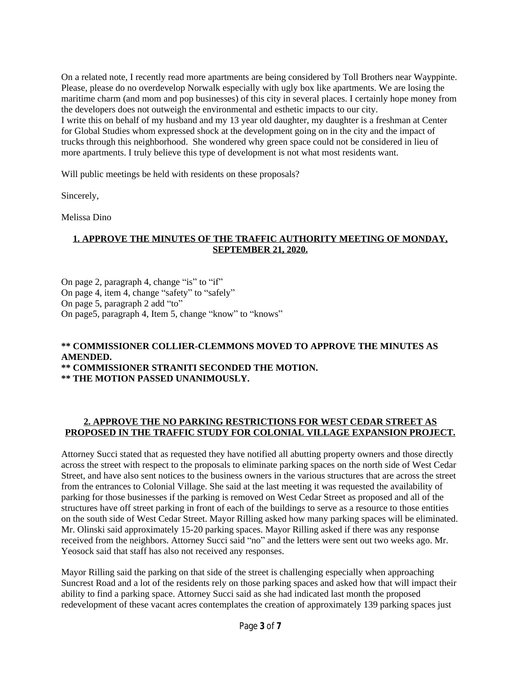On a related note, I recently read more apartments are being considered by Toll Brothers near Wayppinte. Please, please do no overdevelop Norwalk especially with ugly box like apartments. We are losing the maritime charm (and mom and pop businesses) of this city in several places. I certainly hope money from the developers does not outweigh the environmental and esthetic impacts to our city. I write this on behalf of my husband and my 13 year old daughter, my daughter is a freshman at Center for Global Studies whom expressed shock at the development going on in the city and the impact of trucks through this neighborhood. She wondered why green space could not be considered in lieu of more apartments. I truly believe this type of development is not what most residents want.

Will public meetings be held with residents on these proposals?

Sincerely,

Melissa Dino

# **1. APPROVE THE MINUTES OF THE TRAFFIC AUTHORITY MEETING OF MONDAY, SEPTEMBER 21, 2020.**

On page 2, paragraph 4, change "is" to "if" On page 4, item 4, change "safety" to "safely" On page 5, paragraph 2 add "to" On page5, paragraph 4, Item 5, change "know" to "knows"

#### **\*\* COMMISSIONER COLLIER-CLEMMONS MOVED TO APPROVE THE MINUTES AS AMENDED. \*\* COMMISSIONER STRANITI SECONDED THE MOTION.**

**\*\* THE MOTION PASSED UNANIMOUSLY.**

# **2. APPROVE THE NO PARKING RESTRICTIONS FOR WEST CEDAR STREET AS PROPOSED IN THE TRAFFIC STUDY FOR COLONIAL VILLAGE EXPANSION PROJECT.**

Attorney Succi stated that as requested they have notified all abutting property owners and those directly across the street with respect to the proposals to eliminate parking spaces on the north side of West Cedar Street, and have also sent notices to the business owners in the various structures that are across the street from the entrances to Colonial Village. She said at the last meeting it was requested the availability of parking for those businesses if the parking is removed on West Cedar Street as proposed and all of the structures have off street parking in front of each of the buildings to serve as a resource to those entities on the south side of West Cedar Street. Mayor Rilling asked how many parking spaces will be eliminated. Mr. Olinski said approximately 15-20 parking spaces. Mayor Rilling asked if there was any response received from the neighbors. Attorney Succi said "no" and the letters were sent out two weeks ago. Mr. Yeosock said that staff has also not received any responses.

Mayor Rilling said the parking on that side of the street is challenging especially when approaching Suncrest Road and a lot of the residents rely on those parking spaces and asked how that will impact their ability to find a parking space. Attorney Succi said as she had indicated last month the proposed redevelopment of these vacant acres contemplates the creation of approximately 139 parking spaces just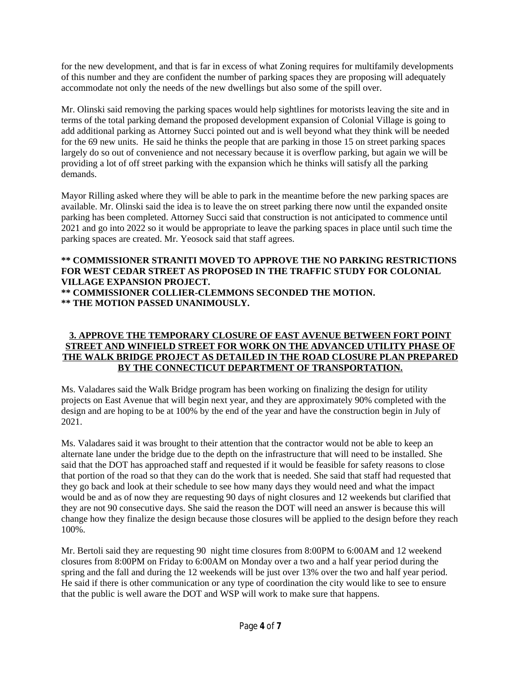for the new development, and that is far in excess of what Zoning requires for multifamily developments of this number and they are confident the number of parking spaces they are proposing will adequately accommodate not only the needs of the new dwellings but also some of the spill over.

Mr. Olinski said removing the parking spaces would help sightlines for motorists leaving the site and in terms of the total parking demand the proposed development expansion of Colonial Village is going to add additional parking as Attorney Succi pointed out and is well beyond what they think will be needed for the 69 new units. He said he thinks the people that are parking in those 15 on street parking spaces largely do so out of convenience and not necessary because it is overflow parking, but again we will be providing a lot of off street parking with the expansion which he thinks will satisfy all the parking demands.

Mayor Rilling asked where they will be able to park in the meantime before the new parking spaces are available. Mr. Olinski said the idea is to leave the on street parking there now until the expanded onsite parking has been completed. Attorney Succi said that construction is not anticipated to commence until 2021 and go into 2022 so it would be appropriate to leave the parking spaces in place until such time the parking spaces are created. Mr. Yeosock said that staff agrees.

#### **\*\* COMMISSIONER STRANITI MOVED TO APPROVE THE NO PARKING RESTRICTIONS FOR WEST CEDAR STREET AS PROPOSED IN THE TRAFFIC STUDY FOR COLONIAL VILLAGE EXPANSION PROJECT. \*\* COMMISSIONER COLLIER-CLEMMONS SECONDED THE MOTION. \*\* THE MOTION PASSED UNANIMOUSLY.**

## **3. APPROVE THE TEMPORARY CLOSURE OF EAST AVENUE BETWEEN FORT POINT STREET AND WINFIELD STREET FOR WORK ON THE ADVANCED UTILITY PHASE OF THE WALK BRIDGE PROJECT AS DETAILED IN THE ROAD CLOSURE PLAN PREPARED BY THE CONNECTICUT DEPARTMENT OF TRANSPORTATION.**

Ms. Valadares said the Walk Bridge program has been working on finalizing the design for utility projects on East Avenue that will begin next year, and they are approximately 90% completed with the design and are hoping to be at 100% by the end of the year and have the construction begin in July of 2021.

Ms. Valadares said it was brought to their attention that the contractor would not be able to keep an alternate lane under the bridge due to the depth on the infrastructure that will need to be installed. She said that the DOT has approached staff and requested if it would be feasible for safety reasons to close that portion of the road so that they can do the work that is needed. She said that staff had requested that they go back and look at their schedule to see how many days they would need and what the impact would be and as of now they are requesting 90 days of night closures and 12 weekends but clarified that they are not 90 consecutive days. She said the reason the DOT will need an answer is because this will change how they finalize the design because those closures will be applied to the design before they reach 100%.

Mr. Bertoli said they are requesting 90 night time closures from 8:00PM to 6:00AM and 12 weekend closures from 8:00PM on Friday to 6:00AM on Monday over a two and a half year period during the spring and the fall and during the 12 weekends will be just over 13% over the two and half year period. He said if there is other communication or any type of coordination the city would like to see to ensure that the public is well aware the DOT and WSP will work to make sure that happens.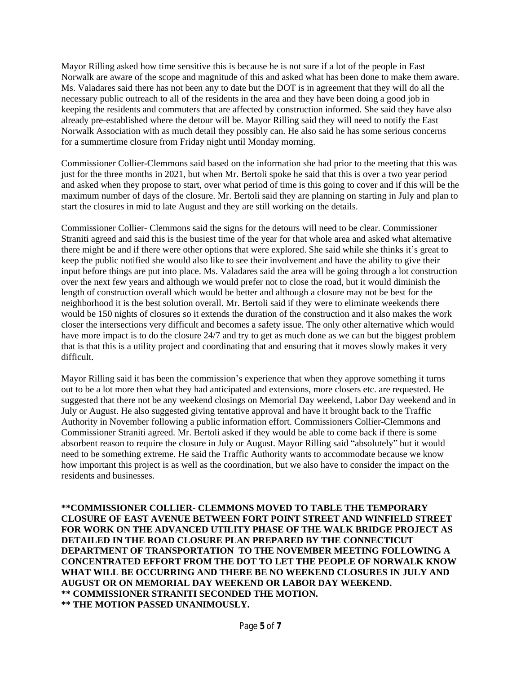Mayor Rilling asked how time sensitive this is because he is not sure if a lot of the people in East Norwalk are aware of the scope and magnitude of this and asked what has been done to make them aware. Ms. Valadares said there has not been any to date but the DOT is in agreement that they will do all the necessary public outreach to all of the residents in the area and they have been doing a good job in keeping the residents and commuters that are affected by construction informed. She said they have also already pre-established where the detour will be. Mayor Rilling said they will need to notify the East Norwalk Association with as much detail they possibly can. He also said he has some serious concerns for a summertime closure from Friday night until Monday morning.

Commissioner Collier-Clemmons said based on the information she had prior to the meeting that this was just for the three months in 2021, but when Mr. Bertoli spoke he said that this is over a two year period and asked when they propose to start, over what period of time is this going to cover and if this will be the maximum number of days of the closure. Mr. Bertoli said they are planning on starting in July and plan to start the closures in mid to late August and they are still working on the details.

Commissioner Collier- Clemmons said the signs for the detours will need to be clear. Commissioner Straniti agreed and said this is the busiest time of the year for that whole area and asked what alternative there might be and if there were other options that were explored. She said while she thinks it's great to keep the public notified she would also like to see their involvement and have the ability to give their input before things are put into place. Ms. Valadares said the area will be going through a lot construction over the next few years and although we would prefer not to close the road, but it would diminish the length of construction overall which would be better and although a closure may not be best for the neighborhood it is the best solution overall. Mr. Bertoli said if they were to eliminate weekends there would be 150 nights of closures so it extends the duration of the construction and it also makes the work closer the intersections very difficult and becomes a safety issue. The only other alternative which would have more impact is to do the closure 24/7 and try to get as much done as we can but the biggest problem that is that this is a utility project and coordinating that and ensuring that it moves slowly makes it very difficult.

Mayor Rilling said it has been the commission's experience that when they approve something it turns out to be a lot more then what they had anticipated and extensions, more closers etc. are requested. He suggested that there not be any weekend closings on Memorial Day weekend, Labor Day weekend and in July or August. He also suggested giving tentative approval and have it brought back to the Traffic Authority in November following a public information effort. Commissioners Collier-Clemmons and Commissioner Straniti agreed. Mr. Bertoli asked if they would be able to come back if there is some absorbent reason to require the closure in July or August. Mayor Rilling said "absolutely" but it would need to be something extreme. He said the Traffic Authority wants to accommodate because we know how important this project is as well as the coordination, but we also have to consider the impact on the residents and businesses.

**\*\*COMMISSIONER COLLIER- CLEMMONS MOVED TO TABLE THE TEMPORARY CLOSURE OF EAST AVENUE BETWEEN FORT POINT STREET AND WINFIELD STREET FOR WORK ON THE ADVANCED UTILITY PHASE OF THE WALK BRIDGE PROJECT AS DETAILED IN THE ROAD CLOSURE PLAN PREPARED BY THE CONNECTICUT DEPARTMENT OF TRANSPORTATION TO THE NOVEMBER MEETING FOLLOWING A CONCENTRATED EFFORT FROM THE DOT TO LET THE PEOPLE OF NORWALK KNOW WHAT WILL BE OCCURRING AND THERE BE NO WEEKEND CLOSURES IN JULY AND AUGUST OR ON MEMORIAL DAY WEEKEND OR LABOR DAY WEEKEND. \*\* COMMISSIONER STRANITI SECONDED THE MOTION. \*\* THE MOTION PASSED UNANIMOUSLY.**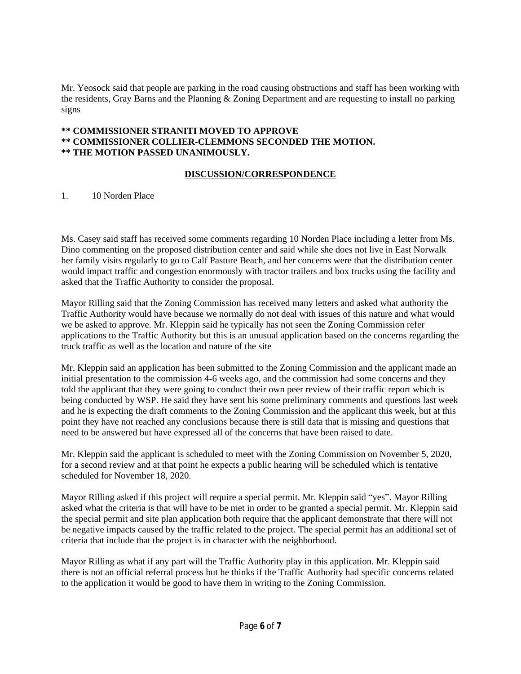Mr. Yeosock said that people are parking in the road causing obstructions and staff has been working with the residents, Gray Barns and the Planning & Zoning Department and are requesting to install no parking signs

## **\*\* COMMISSIONER STRANITI MOVED TO APPROVE \*\* COMMISSIONER COLLIER-CLEMMONS SECONDED THE MOTION. \*\* THE MOTION PASSED UNANIMOUSLY.**

#### **DISCUSSION/CORRESPONDENCE**

1. 10 Norden Place

Ms. Casey said staff has received some comments regarding 10 Norden Place including a letter from Ms. Dino commenting on the proposed distribution center and said while she does not live in East Norwalk her family visits regularly to go to Calf Pasture Beach, and her concerns were that the distribution center would impact traffic and congestion enormously with tractor trailers and box trucks using the facility and asked that the Traffic Authority to consider the proposal.

Mayor Rilling said that the Zoning Commission has received many letters and asked what authority the Traffic Authority would have because we normally do not deal with issues of this nature and what would we be asked to approve. Mr. Kleppin said he typically has not seen the Zoning Commission refer applications to the Traffic Authority but this is an unusual application based on the concerns regarding the truck traffic as well as the location and nature of the site

Mr. Kleppin said an application has been submitted to the Zoning Commission and the applicant made an initial presentation to the commission 4-6 weeks ago, and the commission had some concerns and they told the applicant that they were going to conduct their own peer review of their traffic report which is being conducted by WSP. He said they have sent his some preliminary comments and questions last week and he is expecting the draft comments to the Zoning Commission and the applicant this week, but at this point they have not reached any conclusions because there is still data that is missing and questions that need to be answered but have expressed all of the concerns that have been raised to date.

Mr. Kleppin said the applicant is scheduled to meet with the Zoning Commission on November 5, 2020, for a second review and at that point he expects a public hearing will be scheduled which is tentative scheduled for November 18, 2020.

Mayor Rilling asked if this project will require a special permit. Mr. Kleppin said "yes". Mayor Rilling asked what the criteria is that will have to be met in order to be granted a special permit. Mr. Kleppin said the special permit and site plan application both require that the applicant demonstrate that there will not be negative impacts caused by the traffic related to the project. The special permit has an additional set of criteria that include that the project is in character with the neighborhood.

Mayor Rilling as what if any part will the Traffic Authority play in this application. Mr. Kleppin said there is not an official referral process but he thinks if the Traffic Authority had specific concerns related to the application it would be good to have them in writing to the Zoning Commission.